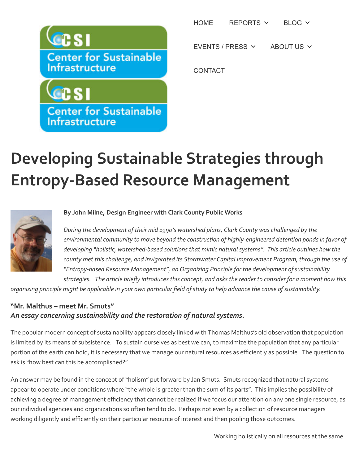

**Center for Sustainable** Infrastructure

[HOME](http://centerforsi.org/) [REPORTS](http://centerforsi.org/index.php/reports/)  $\times$  [BLOG](http://centerforsi.org/index.php/csi-blog/)  $\times$ 

[EVENTS / PRESS](http://centerforsi.org/index.php/events/)  $\vee$  [ABOUT US](http://centerforsi.org/index.php/what-we-do/)  $\vee$ 

**[CONTACT](http://centerforsi.org/index.php/contact-us/)** 

## **Developing Sustainable Strategies through Entropy-Based Resource Management**



## By John Milne, Design Engineer with Clark County Public Works

During the development of their mid 1990's watershed plans, Clark County was challenged by the environmental community to move beyond the construction of highly-engineered detention ponds in favor of developing "holistic, watershed-based solutions that mimic natural systems". This article outlines how the county met this challenge, and invigorated its Stormwater Capital Improvement Program, through the use of *"Entropy-based Resource Management", an Organizing Principle for the development of sustainability*

strategies. The article briefly introduces this concept, and asks the reader to consider for a moment how this organizing principle might be applicable in your own particular field of study to help advance the cause of sustainability.

## **"Mr. Malthus – meet Mr. Smuts"** An essay concerning sustainability and the restoration of natural systems.

The popular modern concept of sustainability appears closely linked with Thomas Malthus's old observation that population is limited by its means of subsistence. To sustain ourselves as best we can, to maximize the population that any particular portion of the earth can hold, it is necessary that we manage our natural resources as efficiently as possible. The question to ask is "how best can this be accomplished?"

An answer may be found in the concept of "holism" put forward by Jan Smuts. Smuts recognized that natural systems appear to operate under conditions where "the whole is greater than the sum of its parts". This implies the possibility of achieving a degree of management efficiency that cannot be realized if we focus our attention on any one single resource, as our individual agencies and organizations so often tend to do. Perhaps not even by a collection of resource managers working diligently and efficiently on their particular resource of interest and then pooling those outcomes.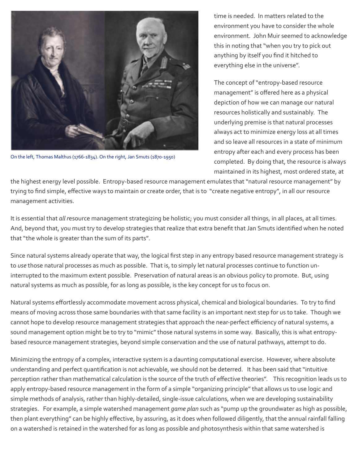

On the left, Thomas Malthus (1766-1834). On the right, Jan Smuts (1870-1950)

time is needed. In matters related to the environment you have to consider the whole environment. John Muir seemed to acknowledge this in noting that "when you try to pick out anything by itself you find it hitched to everything else in the universe".

The concept of "entropy-based resource management" is offered here as a physical depiction of how we can manage our natural resources holistically and sustainably. The underlying premise is that natural processes always act to minimize energy loss at all times and so leave all resources in a state of minimum entropy after each and every process has been completed. By doing that, the resource is always maintained in its highest, most ordered state, at

the highest energy level possible. Entropy-based resource management emulates that "natural resource management" by trying to find simple, effective ways to maintain or create order, that is to "create negative entropy", in all our resource management activities.

It is essential that *all* resource management strategizing be holistic; you must consider all things, in all places, at all times. And, beyond that, you must try to develop strategies that realize that extra benefit that Jan Smuts identified when he noted that "the whole is greater than the sum of its parts".

Since natural systems already operate that way, the logical first step in any entropy based resource management strategy is to *use* those natural processes as much as possible. That is, to simply let natural processes continue to function uninterrupted to the maximum extent possible. Preservation of natural areas is an obvious policy to promote. But, using natural systems as much as possible, for as long as possible, is the key concept for us to focus on.

Natural systems effortlessly accommodate movement across physical, chemical and biological boundaries. To try to find means of moving across those same boundaries with that same facility is an important next step for us to take. Though we cannot hope to develop resource management strategies that approach the near-perfect efficiency of natural systems, a sound management option might be to try to "mimic" those natural systems in some way. Basically, this is what entropybased resource management strategies, beyond simple conservation and the use of natural pathways, attempt to do.

Minimizing the entropy of a complex, interactive system is a daunting computational exercise. However, where absolute understanding and perfect quantification is not achievable, we should not be deterred. It has been said that "intuitive perception rather than mathematical calculation is the source of the truth of effective theories". This recognition leads us to apply entropy-based resource management in the form of a simple "organizing principle" that allows us to use logic and simple methods of analysis, rather than highly-detailed, single-issue calculations, when we are developing sustainability strategies. For example, a simple watershed management *game plan* such as "pump up the groundwater as high as possible, then plant everything" can be highly effective, by assuring, as it does when followed diligently, that the annual rainfall falling on a watershed is retained in the watershed for as long as possible and photosynthesis within that same watershed is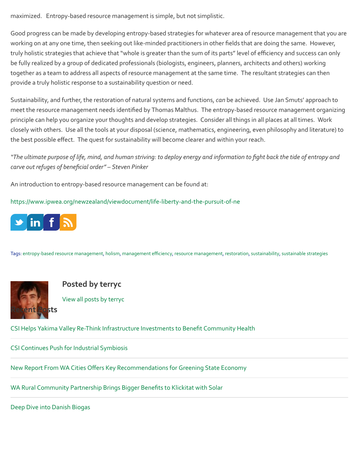maximized. Entropy-based resource management is simple, but not simplistic.

Good progress can be made by developing entropy-based strategies for whatever area of resource management that you are working on at any one time, then seeking out like-minded practitioners in other fields that are doing the same. However, truly holistic strategies that achieve that "whole is greater than the sum of its parts" level of efficiency and success can only be fully realized by a group of dedicated professionals (biologists, engineers, planners, architects and others) working together as a team to address all aspects of resource management at the same time. The resultant strategies can then provide a truly holistic response to a sustainability question or need.

Sustainability, and further, the restoration of natural systems and functions, *can* be achieved. Use Jan Smuts' approach to meet the resource management needs identified by Thomas Malthus. The entropy-based resource management organizing principle can help you organize your thoughts and develop strategies. Consider all things in all places at all times. Work closely with others. Use all the tools at your disposal (science, mathematics, engineering, even philosophy and literature) to the best possible effect. The quest for sustainability will become clearer and within your reach.

*"The ultimate purpose of life, mind, and human striving: to deploy energy and information to fight back the tide of entropy and* carve out refuges of beneficial order" - Steven Pinker

An introduction to entropy-based resource management can be found at:

<https://www.ipwea.org/newzealand/viewdocument/life-liberty-and-the-pursuit-of-ne>



Tags: entropy-based resource management, [holism](http://centerforsi.org/index.php/tag/holism/), management efficiency, resource management, [restoration](http://centerforsi.org/index.php/tag/restoration/), sustainability, sustainable strategies



**Posted by terryc** 

View all posts by terryc

CSI Helps Yakima Valley Re-Think Infrastructure Investments to Benefit Community Health

CSI Continues Push for Industrial Symbiosis

New Report From WA Cities Offers Key Recommendations for Greening State Economy

WA Rural Community Partnership Brings Bigger Benefits to Klickitat with Solar

Deep Dive into Danish Biogas